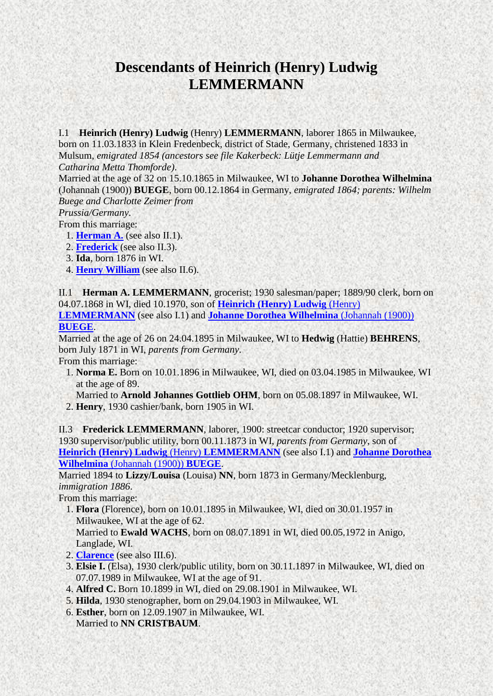## <span id="page-0-3"></span>**Descendants of Heinrich (Henry) Ludwig LEMMERMANN**

<span id="page-0-2"></span>I.1 **Heinrich (Henry) Ludwig** (Henry) **LEMMERMANN**, laborer 1865 in Milwaukee, born on 11.03.1833 in Klein Fredenbeck, district of Stade, Germany, christened 1833 in Mulsum, *emigrated 1854 (ancestors see file Kakerbeck: Lütje Lemmermann and Catharina Metta Thomforde)*.

Married at the age of 32 on 15.10.1865 in Milwaukee, WI to **Johanne Dorothea Wilhelmina** (Johannah (1900)) **BUEGE**, born 00.12.1864 in Germany, *emigrated 1864; parents: Wilhelm Buege and Charlotte Zeimer from*

*Prussia/Germany*.

- From this marriage:
	- 1. **[Herman A.](#page-0-0)** (see also II.1).
	- 2. **[Frederick](#page-0-1)** (see also II.3).
	- 3. **Ida**, born 1876 in WI.
	- 4. **[Henry William](#page-1-0)** (see also II.6).

<span id="page-0-0"></span>II.1 **Herman A. LEMMERMANN**, grocerist; 1930 salesman/paper; 1889/90 clerk, born on 04.07.1868 in WI, died 10.1970, son of **[Heinrich \(Henry\) Ludwig](#page-0-2)** (Henry) **[LEMMERMANN](#page-0-2)** (see also I.1) and **[Johanne Dorothea Wilhelmina](#page-0-3)** (Johannah (1900)) **[BUEGE](#page-0-3)**.

Married at the age of 26 on 24.04.1895 in Milwaukee, WI to **Hedwig** (Hattie) **BEHRENS**, born July 1871 in WI, *parents from Germany*.

From this marriage:

- 1. **Norma E.** Born on 10.01.1896 in Milwaukee, WI, died on 03.04.1985 in Milwaukee, WI at the age of 89.
- Married to **Arnold Johannes Gottlieb OHM**, born on 05.08.1897 in Milwaukee, WI. 2. **Henry**, 1930 cashier/bank, born 1905 in WI.

<span id="page-0-1"></span>II.3 **Frederick LEMMERMANN**, laborer, 1900: streetcar conductor; 1920 supervisor; 1930 supervisor/public utility, born 00.11.1873 in WI, *parents from Germany*, son of **[Heinrich \(Henry\) Ludwig](#page-0-2)** (Henry) **LEMMERMANN** (see also I.1) and **[Johanne Dorothea](#page-0-3)  Wilhelmina** [\(Johannah \(1900\)\)](#page-0-3) **BUEGE**.

<span id="page-0-4"></span>Married 1894 to **Lizzy/Louisa** (Louisa) **NN**, born 1873 in Germany/Mecklenburg, *immigration 1886*.

From this marriage:

 1. **Flora** (Florence), born on 10.01.1895 in Milwaukee, WI, died on 30.01.1957 in Milwaukee, WI at the age of 62.

Married to **Ewald WACHS**, born on 08.07.1891 in WI, died 00.05.1972 in Anigo, Langlade, WI.

- 2. **[Clarence](#page-1-1)** (see also III.6).
- 3. **Elsie I.** (Elsa), 1930 clerk/public utility, born on 30.11.1897 in Milwaukee, WI, died on 07.07.1989 in Milwaukee, WI at the age of 91.
- 4. **Alfred C.** Born 10.1899 in WI, died on 29.08.1901 in Milwaukee, WI.
- 5. **Hilda**, 1930 stenographer, born on 29.04.1903 in Milwaukee, WI.
- 6. **Esther**, born on 12.09.1907 in Milwaukee, WI. Married to **NN CRISTBAUM**.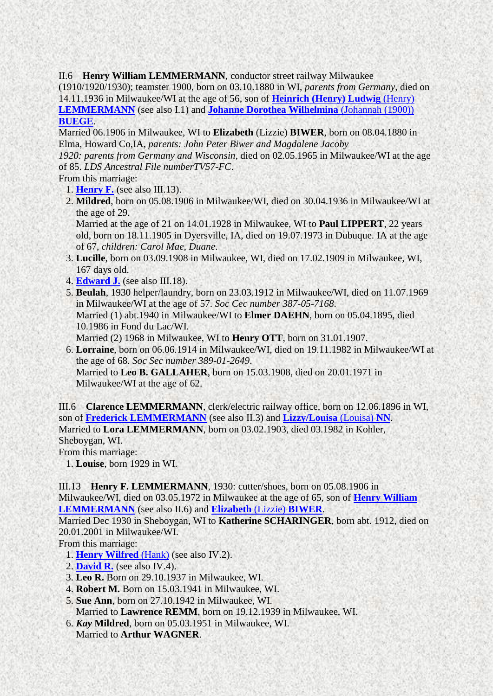<span id="page-1-0"></span>II.6 **Henry William LEMMERMANN**, conductor street railway Milwaukee

(1910/1920/1930); teamster 1900, born on 03.10.1880 in WI, *parents from Germany*, died on 14.11.1936 in Milwaukee/WI at the age of 56, son of **[Heinrich \(Henry\) Ludwig](#page-0-2)** (Henry) **[LEMMERMANN](#page-0-2)** (see also I.1) and **[Johanne Dorothea Wilhelmina](#page-0-3)** (Johannah (1900)) **[BUEGE](#page-0-3)**.

<span id="page-1-3"></span>Married 06.1906 in Milwaukee, WI to **Elizabeth** (Lizzie) **BIWER**, born on 08.04.1880 in Elma, Howard Co,IA, *parents: John Peter Biwer and Magdalene Jacoby*

*1920: parents from Germany and Wisconsin*, died on 02.05.1965 in Milwaukee/WI at the age of 85. *LDS Ancestral File numberTV57-FC*.

From this marriage:

- 1. **[Henry F.](#page-1-2)** (see also III.13).
- 2. **Mildred**, born on 05.08.1906 in Milwaukee/WI, died on 30.04.1936 in Milwaukee/WI at the age of 29.

Married at the age of 21 on 14.01.1928 in Milwaukee, WI to **Paul LIPPERT**, 22 years old, born on 18.11.1905 in Dyersville, IA, died on 19.07.1973 in Dubuque. IA at the age of 67, *children: Carol Mae, Duane*.

- 3. **Lucille**, born on 03.09.1908 in Milwaukee, WI, died on 17.02.1909 in Milwaukee, WI, 167 days old.
- 4. **[Edward J.](#page-2-0)** (see also III.18).
- 5. **Beulah**, 1930 helper/laundry, born on 23.03.1912 in Milwaukee/WI, died on 11.07.1969 in Milwaukee/WI at the age of 57. *Soc Cec number 387-05-7168*. Married (1) abt.1940 in Milwaukee/WI to **Elmer DAEHN**, born on 05.04.1895, died 10.1986 in Fond du Lac/WI. Married (2) 1968 in Milwaukee, WI to **Henry OTT**, born on 31.01.1907.
- 6. **Lorraine**, born on 06.06.1914 in Milwaukee/WI, died on 19.11.1982 in Milwaukee/WI at the age of 68. *Soc Sec number 389-01-2649*. Married to **Leo B. GALLAHER**, born on 15.03.1908, died on 20.01.1971 in Milwaukee/WI at the age of 62.

<span id="page-1-1"></span>III.6 **Clarence LEMMERMANN**, clerk/electric railway office, born on 12.06.1896 in WI, son of **[Frederick LEMMERMANN](#page-0-1)** (see also II.3) and **[Lizzy/Louisa](#page-0-4)** (Louisa) **NN**. Married to **Lora LEMMERMANN**, born on 03.02.1903, died 03.1982 in Kohler, Sheboygan, WI. From this marriage:

1. **Louise**, born 1929 in WI.

<span id="page-1-2"></span>III.13 **Henry F. LEMMERMANN**, 1930: cutter/shoes, born on 05.08.1906 in

Milwaukee/WI, died on 03.05.1972 in Milwaukee at the age of 65, son of **[Henry William](#page-1-0)  [LEMMERMANN](#page-1-0)** (see also II.6) and **[Elizabeth](#page-1-3)** (Lizzie) **BIWER**.

Married Dec 1930 in Sheboygan, WI to **Katherine SCHARINGER**, born abt. 1912, died on 20.01.2001 in Milwaukee/WI.

From this marriage:

- <span id="page-1-4"></span>1. **[Henry Wilfred](#page-2-1)** (Hank) (see also IV.2).
- 2. **[David R.](#page-2-2)** (see also IV.4).
- 3. **Leo R.** Born on 29.10.1937 in Milwaukee, WI.
- 4. **Robert M.** Born on 15.03.1941 in Milwaukee, WI.
- 5. **Sue Ann**, born on 27.10.1942 in Milwaukee, WI. Married to **Lawrence REMM**, born on 19.12.1939 in Milwaukee, WI.
- 6. *Kay* **Mildred**, born on 05.03.1951 in Milwaukee, WI. Married to **Arthur WAGNER**.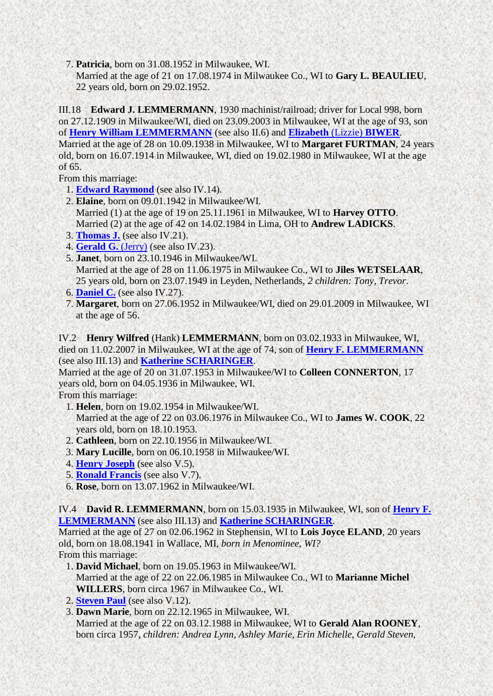7. **Patricia**, born on 31.08.1952 in Milwaukee, WI.

<span id="page-2-3"></span>Married at the age of 21 on 17.08.1974 in Milwaukee Co., WI to **Gary L. BEAULIEU**, 22 years old, born on 29.02.1952.

<span id="page-2-0"></span>III.18 **Edward J. LEMMERMANN**, 1930 machinist/railroad; driver for Local 998, born on 27.12.1909 in Milwaukee/WI, died on 23.09.2003 in Milwaukee, WI at the age of 93, son of **[Henry William LEMMERMANN](#page-1-0)** (see also II.6) and **[Elizabeth](#page-1-3)** (Lizzie) **BIWER**. Married at the age of 28 on 10.09.1938 in Milwaukee, WI to **Margaret FURTMAN**, 24 years old, born on 16.07.1914 in Milwaukee, WI, died on 19.02.1980 in Milwaukee, WI at the age of 65.

From this marriage:

- 1. **[Edward Raymond](#page-3-0)** (see also IV.14).
- 2. **Elaine**, born on 09.01.1942 in Milwaukee/WI. Married (1) at the age of 19 on 25.11.1961 in Milwaukee, WI to **Harvey OTTO**. Married (2) at the age of 42 on 14.02.1984 in Lima, OH to **Andrew LADICKS**.
- 3. **[Thomas J.](#page-3-1)** (see also IV.21).
- 4. **[Gerald G.](#page-3-2)** (Jerry) (see also IV.23).
- 5. **Janet**, born on 23.10.1946 in Milwaukee/WI. Married at the age of 28 on 11.06.1975 in Milwaukee Co., WI to **Jiles WETSELAAR**, 25 years old, born on 23.07.1949 in Leyden, Netherlands, *2 children: Tony, Trevor*.
- 6. **[Daniel C.](#page-3-3)** (see also IV.27).
- 7. **Margaret**, born on 27.06.1952 in Milwaukee/WI, died on 29.01.2009 in Milwaukee, WI at the age of 56.

<span id="page-2-1"></span>IV.2 **Henry Wilfred** (Hank) **LEMMERMANN**, born on 03.02.1933 in Milwaukee, WI, died on 11.02.2007 in Milwaukee, WI at the age of 74, son of **[Henry F. LEMMERMANN](#page-1-2)** (see also III.13) and **[Katherine SCHARINGER](#page-1-4)**.

Married at the age of 20 on 31.07.1953 in Milwaukee/WI to **Colleen CONNERTON**, 17 years old, born on 04.05.1936 in Milwaukee, WI.

From this marriage:

- <span id="page-2-4"></span> 1. **Helen**, born on 19.02.1954 in Milwaukee/WI. Married at the age of 22 on 03.06.1976 in Milwaukee Co., WI to **James W. COOK**, 22 years old, born on 18.10.1953.
- 2. **Cathleen**, born on 22.10.1956 in Milwaukee/WI.
- 3. **Mary Lucille**, born on 06.10.1958 in Milwaukee/WI.
- 4. **[Henry Joseph](#page-3-4)** (see also V.5).
- 5. **[Ronald Francis](#page-4-0)** (see also V.7).
- 6. **Rose**, born on 13.07.1962 in Milwaukee/WI.

<span id="page-2-2"></span>IV.4 **David R. LEMMERMANN**, born on 15.03.1935 in Milwaukee, WI, son of **[Henry F.](#page-1-2)  [LEMMERMANN](#page-1-2)** (see also III.13) and **[Katherine SCHARINGER](#page-1-4)**.

Married at the age of 27 on 02.06.1962 in Stephensin, WI to **Lois Joyce ELAND**, 20 years old, born on 18.08.1941 in Wallace, MI, *born in Menominee, WI?* From this marriage:

- <span id="page-2-5"></span> 1. **David Michael**, born on 19.05.1963 in Milwaukee/WI. Married at the age of 22 on 22.06.1985 in Milwaukee Co., WI to **Marianne Michel WILLERS**, born circa 1967 in Milwaukee Co., WI.
- 2. **[Steven Paul](#page-4-1)** (see also V.12).
- 3. **Dawn Marie**, born on 22.12.1965 in Milwaukee, WI. Married at the age of 22 on 03.12.1988 in Milwaukee, WI to **Gerald Alan ROONEY**, born circa 1957, *children: Andrea Lynn, Ashley Marie, Erin Michelle, Gerald Steven,*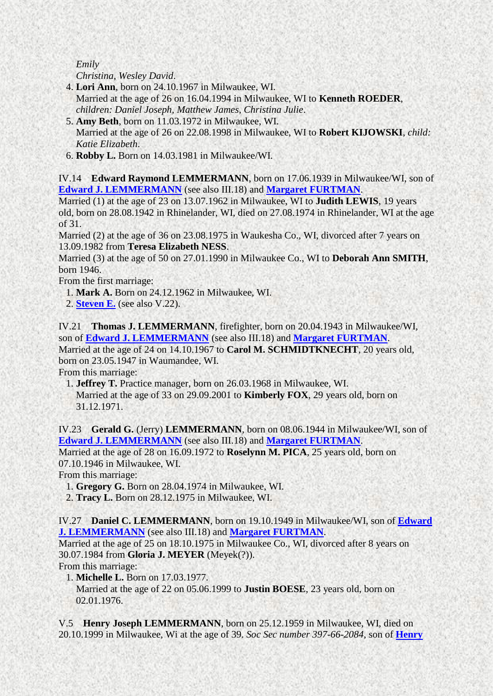*Emily Christina, Wesley David*.

- 4. **Lori Ann**, born on 24.10.1967 in Milwaukee, WI. Married at the age of 26 on 16.04.1994 in Milwaukee, WI to **Kenneth ROEDER**, *children: Daniel Joseph, Matthew James, Christina Julie*.
- 5. **Amy Beth**, born on 11.03.1972 in Milwaukee, WI. Married at the age of 26 on 22.08.1998 in Milwaukee, WI to **Robert KIJOWSKI**, *child: Katie Elizabeth*.
- <span id="page-3-5"></span>6. **Robby L.** Born on 14.03.1981 in Milwaukee/WI.

<span id="page-3-0"></span>IV.14 **Edward Raymond LEMMERMANN**, born on 17.06.1939 in Milwaukee/WI, son of **[Edward J. LEMMERMANN](#page-2-0)** (see also III.18) and **[Margaret FURTMAN](#page-2-3)**.

Married (1) at the age of 23 on 13.07.1962 in Milwaukee, WI to **Judith LEWIS**, 19 years old, born on 28.08.1942 in Rhinelander, WI, died on 27.08.1974 in Rhinelander, WI at the age of 31.

Married (2) at the age of 36 on 23.08.1975 in Waukesha Co., WI, divorced after 7 years on 13.09.1982 from **Teresa Elizabeth NESS**.

Married (3) at the age of 50 on 27.01.1990 in Milwaukee Co., WI to **Deborah Ann SMITH**, born 1946.

From the first marriage:

- 1. **Mark A.** Born on 24.12.1962 in Milwaukee, WI.
- 2. **[Steven E.](#page-4-2)** (see also V.22).

<span id="page-3-1"></span>IV.21 **Thomas J. LEMMERMANN**, firefighter, born on 20.04.1943 in Milwaukee/WI, son of **[Edward J. LEMMERMANN](#page-2-0)** (see also III.18) and **[Margaret FURTMAN](#page-2-3)**. Married at the age of 24 on 14.10.1967 to **Carol M. SCHMIDTKNECHT**, 20 years old, born on 23.05.1947 in Waumandee, WI. From this marriage:

1. **Jeffrey T.** Practice manager, born on 26.03.1968 in Milwaukee, WI.

Married at the age of 33 on 29.09.2001 to **Kimberly FOX**, 29 years old, born on 31.12.1971.

<span id="page-3-2"></span>IV.23 **Gerald G.** (Jerry) **LEMMERMANN**, born on 08.06.1944 in Milwaukee/WI, son of **[Edward J. LEMMERMANN](#page-2-0)** (see also III.18) and **[Margaret FURTMAN](#page-2-3)**.

Married at the age of 28 on 16.09.1972 to **Roselynn M. PICA**, 25 years old, born on 07.10.1946 in Milwaukee, WI.

From this marriage:

1. **Gregory G.** Born on 28.04.1974 in Milwaukee, WI.

2. **Tracy L.** Born on 28.12.1975 in Milwaukee, WI.

<span id="page-3-3"></span>IV.27 **Daniel C. LEMMERMANN**, born on 19.10.1949 in Milwaukee/WI, son of **[Edward](#page-2-0)  [J. LEMMERMANN](#page-2-0)** (see also III.18) and **[Margaret FURTMAN](#page-2-3)**.

Married at the age of 25 on 18.10.1975 in Milwaukee Co., WI, divorced after 8 years on 30.07.1984 from **Gloria J. MEYER** (Meyek(?)).

From this marriage:

1. **Michelle L.** Born on 17.03.1977.

Married at the age of 22 on 05.06.1999 to **Justin BOESE**, 23 years old, born on 02.01.1976.

<span id="page-3-4"></span>V.5 **Henry Joseph LEMMERMANN**, born on 25.12.1959 in Milwaukee, WI, died on 20.10.1999 in Milwaukee, Wi at the age of 39. *Soc Sec number 397-66-2084*, son of **[Henry](#page-2-1)**